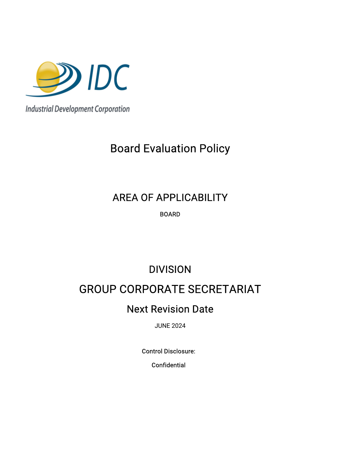

**Industrial Development Corporation** 

# **Board Evaluation Policy**

## AREA OF APPLICABILITY

BOARD

# DIVISION

## **GROUP CORPORATE SECRETARIAT**

### **Next Revision Date**

JUNE2024

Control Disclosure:

**Confidential**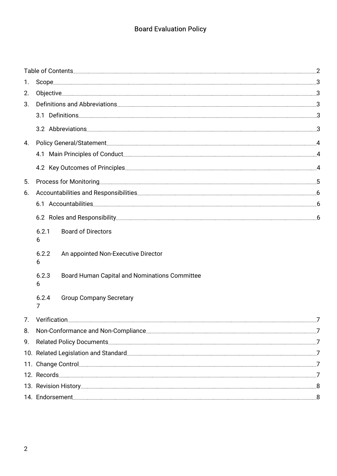### **Board Evaluation Policy**

|    | Table of Contents <b>Contents</b> 2008 and 2008 and 2010 and 2010 and 2010 and 2010 and 2010 and 2010 and 2010 and 201                                                                                                              |
|----|-------------------------------------------------------------------------------------------------------------------------------------------------------------------------------------------------------------------------------------|
| 1. |                                                                                                                                                                                                                                     |
| 2. | 0bjective 3                                                                                                                                                                                                                         |
| 3. | Definitions and Abbreviations 2000 and the control of the control of the control of the control of the control of the control of the control of the control of the control of the control of the control of the control of the      |
|    | 3.1 Definitions                                                                                                                                                                                                                     |
|    | 3.2 Abbreviations<br>3                                                                                                                                                                                                              |
|    |                                                                                                                                                                                                                                     |
|    | 4.1 Main Principles of Conduct                                                                                                                                                                                                      |
|    |                                                                                                                                                                                                                                     |
| 5. | Process for Monitoring                                                                                                                                                                                                              |
| 6. | 6                                                                                                                                                                                                                                   |
|    | 6.1 Accountabilities<br>.6<br><u> 1989 - Johann Stoff, Amerikaansk politiker (* 1989)</u>                                                                                                                                           |
|    | .6                                                                                                                                                                                                                                  |
|    | <b>Board of Directors</b><br>6.2.1<br>6                                                                                                                                                                                             |
|    | 6.2.2<br>An appointed Non-Executive Director<br>6                                                                                                                                                                                   |
|    | 6.2.3<br>Board Human Capital and Nominations Committee<br>6                                                                                                                                                                         |
|    | 6.2.4<br><b>Group Company Secretary</b><br>7                                                                                                                                                                                        |
| 7. | Verification<br>7                                                                                                                                                                                                                   |
| 8. | Non-Conformance and Non-Compliance                                                                                                                                                                                                  |
|    | 9. Related Policy Documents 7                                                                                                                                                                                                       |
|    | 10. Related Legislation and Standard Manuscription and Standard Manuscription and Standard Manuscription and Standard Manuscription and Standard Manuscription and Standard Manuscription and Standard Manuscription and Stand      |
|    | 11. Change Control <b>Control Control</b> Control Control Control Control Control Control Control Control Control Control Control Control Control Control Control Control Control Control Control Control Control Control Control C |
|    | 12. Records                                                                                                                                                                                                                         |
|    |                                                                                                                                                                                                                                     |
|    | 14. Endorsement                                                                                                                                                                                                                     |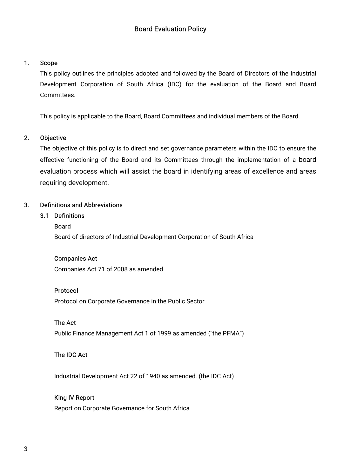#### 1. Scope

This policy outlines the principles adopted and followed by the Board of Directors of the Industrial Development Corporation of South Africa (IDC) for the evaluation of the Board and Board Committees.

This policy is applicable to the Board, Board Committees and individual members of the Board.

#### 2. Objective

The objective of this policy is to direct and set governance parameters within the IDC to ensure the effective functioning of the Board and its Committees through the implementation of a board evaluation process which will assist the board in identifying areas of excellence and areas requiring development.

#### 3. Definitions and Abbreviations

#### 3.1 Definitions

#### Board

Board of directors of Industrial Development Corporation of South Africa

#### **Companies Act**

Companies Act 71 of 2008 as amended

#### Protocol

Protocol on Corporate Governance in the Public Sector

#### The Act

Public Finance Management Act 1 of 1999 as amended ("the PFMA")

#### The IDC Act

Industrial Development Act 22 of 1940 as amended. (the IDC Act)

#### King IV Report

Report on Corporate Governance for South Africa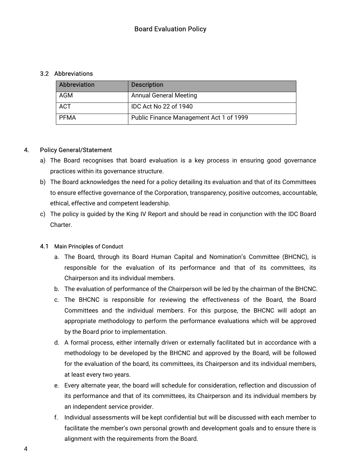#### 3.2 Abbreviations

| <b>Abbreviation</b> | <b>Description</b>                      |
|---------------------|-----------------------------------------|
| AGM                 | <b>Annual General Meeting</b>           |
| <b>ACT</b>          | IDC Act No 22 of 1940                   |
| PFMA                | Public Finance Management Act 1 of 1999 |

#### 4. Policy General/Statement

- a) The Board recognises that board evaluation is a key process in ensuring good governance practices within its governance structure.
- b) The Board acknowledges the need for a policy detailing its evaluation and that of its Committees to ensure effective governance of the Corporation, transparency, positive outcomes, accountable, ethical, effective and competent leadership.
- c) The policy is quided by the King IV Report and should be read in conjunction with the IDC Board Charter.

#### 4.1 Main Principles of Conduct

- a. The Board, through its Board Human Capital and Nomination's Committee (BHCNC), is responsible for the evaluation of its performance and that of its committees, its Chairperson and its individual members.
- b. The evaluation of performance of the Chairperson will be led by the chairman of the BHCNC.
- c. The BHCNC is responsible for reviewing the effectiveness of the Board, the Board Committees and the individual members. For this purpose, the BHCNC will adopt an appropriate methodology to perform the performance evaluations which will be approved by the Board prior to implementation.
- d. A formal process, either internally driven or externally facilitated but in accordance with a methodology to be developed by the BHCNC and approved by the Board, will be followed for the evaluation of the board, its committees, its Chairperson and its individual members, at least every two years.
- e. Every alternate year, the board will schedule for consideration, reflection and discussion of its performance and that of its committees, its Chairperson and its individual members by an independent service provider.
- f. Individual assessments will be kept confidential but will be discussed with each member to facilitate the member's own personal growth and development goals and to ensure there is alignment with the requirements from the Board.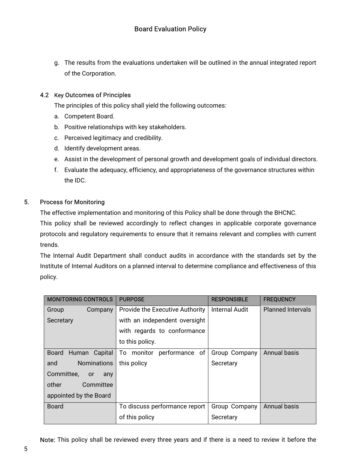g. The results from the evaluations undertaken will be outlined in the annual integrated report of the Corporation.

#### 4.2 Key Outcomes of Principles

The principles of this policy shall yield the following outcomes:

- a. Competent Board.
- b. Positive relationships with key stakeholders.
- c. Perceived legitimacy and credibility.
- d. Identify development areas.
- e. Assist in the development of personal growth and development goals of individual directors.
- f. Evaluate the adequacy, efficiency, and appropriateness of the governance structures within the IDC.

#### 5. Process for Monitoring

The effective implementation and monitoring of this Policy shall be done through the BHCNC.

This policy shall be reviewed accordingly to reflect changes in applicable corporate governance protocols and regulatory requirements to ensure that it remains relevant and complies with current trends.

The Internal Audit Department shall conduct audits in accordance with the standards set by the Institute of Internal Auditors on a planned interval to determine compliance and effectiveness of this policy.

| MONITORING CONTROLS            | <b>PURPOSE</b>                  | <b>RESPONSIBLE</b>    | <b>FREQUENCY</b>         |
|--------------------------------|---------------------------------|-----------------------|--------------------------|
| Group<br>Company               | Provide the Executive Authority | <b>Internal Audit</b> | <b>Planned Intervals</b> |
| Secretary                      | with an independent oversight   |                       |                          |
|                                | with regards to conformance     |                       |                          |
|                                | to this policy.                 |                       |                          |
| Board<br>Human Capital         | To monitor performance of       | Group Company         | <b>Annual basis</b>      |
| <b>Nominations</b><br>and      | this policy                     | Secretary             |                          |
| Committee,<br><b>or</b><br>any |                                 |                       |                          |
| other<br>Committee             |                                 |                       |                          |
| appointed by the Board         |                                 |                       |                          |
| <b>Board</b>                   | To discuss performance report   | Group Company         | <b>Annual basis</b>      |
|                                | of this policy                  | Secretary             |                          |

Note: This policy shall be reviewed every three years and if there is a need to review it before the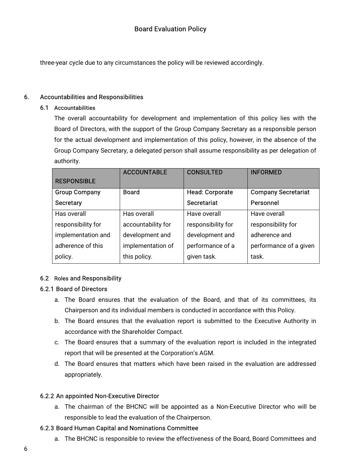three-year cycle due to any circumstances the policy will be reviewed accordingly.

#### 6. Accountabilities and Responsibilities

#### 6.1 Accountabilities

The overall accountability for development and implementation of this policy lies with the Board of Directors, with the support of the Group Company Secretary as a responsible person for the actual development and implementation of this policy, however, in the absence of the Group Company Secretary, a delegated person shall assume responsibility as per delegation of authority.

|                      | <b>ACCOUNTABLE</b> | <b>CONSULTED</b>       | <b>INFORMED</b>            |
|----------------------|--------------------|------------------------|----------------------------|
| <b>RESPONSIBLE</b>   |                    |                        |                            |
| <b>Group Company</b> | <b>Board</b>       | <b>Head: Corporate</b> | <b>Company Secretariat</b> |
| <b>Secretary</b>     |                    | <b>Secretariat</b>     | Personnel                  |
| Has overall          | Has overall        | Have overall           | Have overall               |
| responsibility for   | accountability for | responsibility for     | responsibility for         |
| implementation and   | development and    | development and        | adherence and              |
| adherence of this    | implementation of  | performance of a       | performance of a given     |
| policy.              | this policy.       | given task.            | task.                      |

#### 6.2 Roles and Responsibility

#### 6.2.1 Board of Directors

- a. The Board ensures that the evaluation of the Board, and that of its committees, its Chairperson and its individual members is conducted in accordance with this Policy.
- b. The Board ensures that the evaluation report is submitted to the Executive Authority in accordance with the Shareholder Compact.
- c. The Board ensures that a summary of the evaluation report is included in the integrated report that will be presented at the Corporation's AGM.
- d. The Board ensures that matters which have been raised in the evaluation are addressed appropriately.

#### 6.2.2 An appointed Non-Executive Director

a. The chairman of the BHCNC will be appointed as a Non-Executive Director who will be responsible to lead the evaluation of the Chairperson.

#### 6.2.3 Board Human Capital and Nominations Committee

a. The BHCNC is responsible to review the effectiveness of the Board, Board Committees and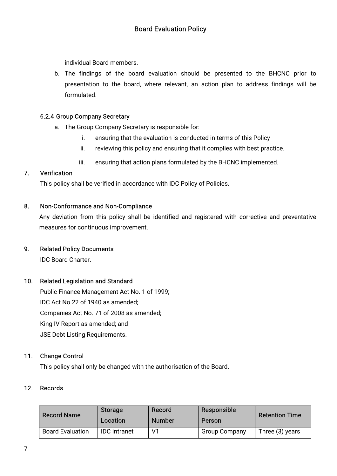individual Board members.

b. The findings of the board evaluation should be presented to the BHCNC prior to presentation to the board, where relevant, an action plan to address findings will be formulated.

#### 6.2.4 Group Company Secretary

- a. The Group Company Secretary is responsible for:
	- i. ensuring that the evaluation is conducted in terms of this Policy
	- ii. reviewing this policy and ensuring that it complies with best practice.
	- iii. ensuring that action plans formulated by the BHCNC implemented.

#### 7. Verification

This policy shall be verified in accordance with IDC Policy of Policies.

#### 8. Non-Conformance and Non-Compliance

Any deviation from this policy shall be identified and registered with corrective and preventative measures for continuous improvement.

#### 9. Related Policy Documents

IDC Board Charter.

#### 10. Related Legislation and Standard

Public Finance Management Act No. 1 of 1999; IDC Act No 22 of 1940 as amended; Companies Act No. 71 of 2008 as amended; King IV Report as amended; and JSE Debt Listing Requirements.

#### 11. Change Control

This policy shall only be changed with the authorisation of the Board.

#### 12. Records

| <b>Record Name</b>      | <b>Storage</b><br>Location | Record<br><b>Number</b> | Responsible<br>Person | <b>Retention Time</b> |
|-------------------------|----------------------------|-------------------------|-----------------------|-----------------------|
| <b>Board Evaluation</b> | <b>IDC</b> Intranet        | $V^{\prime}$            | <b>Group Company</b>  | Three (3) years       |